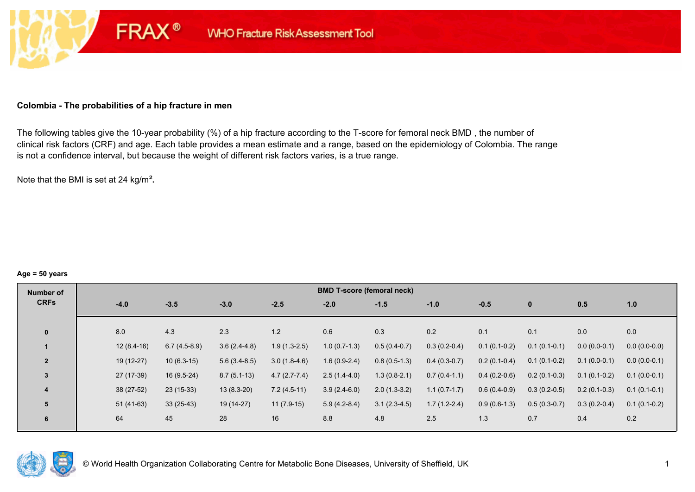### **Colombia - The probabilities of a hip fracture in men**

**FRAX®** 

The following tables give the 10-year probability (%) of a hip fracture according to the T-score for femoral neck BMD , the number of clinical risk factors (CRF) and age. Each table provides a mean estimate and a range, based on the epidemiology of Colombia. The range is not a confidence interval, but because the weight of different risk factors varies, is a true range.

Note that the BMI is set at 24 kg/m²**.** 

#### **Age = 50 years**

| Number of      |        |              |                |                |                | <b>BMD T-score (femoral neck)</b> |                |                |                |                |                |                |
|----------------|--------|--------------|----------------|----------------|----------------|-----------------------------------|----------------|----------------|----------------|----------------|----------------|----------------|
| <b>CRFs</b>    | $-4.0$ |              | $-3.5$         | $-3.0$         | $-2.5$         | $-2.0$                            | $-1.5$         | $-1.0$         | $-0.5$         | $\mathbf{0}$   | 0.5            | 1.0            |
|                |        |              |                |                |                |                                   |                |                |                |                |                |                |
| $\mathbf{0}$   | 8.0    |              | 4.3            | 2.3            | 1.2            | 0.6                               | 0.3            | 0.2            | 0.1            | 0.1            | 0.0            | 0.0            |
|                |        | $12(8.4-16)$ | $6.7(4.5-8.9)$ | $3.6(2.4-4.8)$ | $1.9(1.3-2.5)$ | $1.0(0.7-1.3)$                    | $0.5(0.4-0.7)$ | $0.3(0.2-0.4)$ | $0.1(0.1-0.2)$ | $0.1(0.1-0.1)$ | $0.0(0.0-0.1)$ | $0.0(0.0-0.0)$ |
| $\overline{2}$ |        | $19(12-27)$  | $10(6.3-15)$   | $5.6(3.4-8.5)$ | $3.0(1.8-4.6)$ | $1.6(0.9-2.4)$                    | $0.8(0.5-1.3)$ | $0.4(0.3-0.7)$ | $0.2(0.1-0.4)$ | $0.1(0.1-0.2)$ | $0.1(0.0-0.1)$ | $0.0(0.0-0.1)$ |
| 3              |        | 27 (17-39)   | $16(9.5-24)$   | $8.7(5.1-13)$  | $4.7(2.7-7.4)$ | $2.5(1.4-4.0)$                    | $1.3(0.8-2.1)$ | $0.7(0.4-1.1)$ | $0.4(0.2-0.6)$ | $0.2(0.1-0.3)$ | $0.1(0.1-0.2)$ | $0.1(0.0-0.1)$ |
| 4              |        | 38 (27-52)   | $23(15-33)$    | $13(8.3-20)$   | $7.2(4.5-11)$  | $3.9(2.4-6.0)$                    | $2.0(1.3-3.2)$ | $1.1(0.7-1.7)$ | $0.6(0.4-0.9)$ | $0.3(0.2-0.5)$ | $0.2(0.1-0.3)$ | $0.1(0.1-0.1)$ |
| 5              |        | $51(41-63)$  | $33(25-43)$    | 19 (14-27)     | $11(7.9-15)$   | $5.9(4.2-8.4)$                    | $3.1(2.3-4.5)$ | $1.7(1.2-2.4)$ | $0.9(0.6-1.3)$ | $0.5(0.3-0.7)$ | $0.3(0.2-0.4)$ | $0.1(0.1-0.2)$ |
| 6              | 64     |              | 45             | 28             | 16             | 8.8                               | 4.8            | 2.5            | 1.3            | 0.7            | 0.4            | 0.2            |

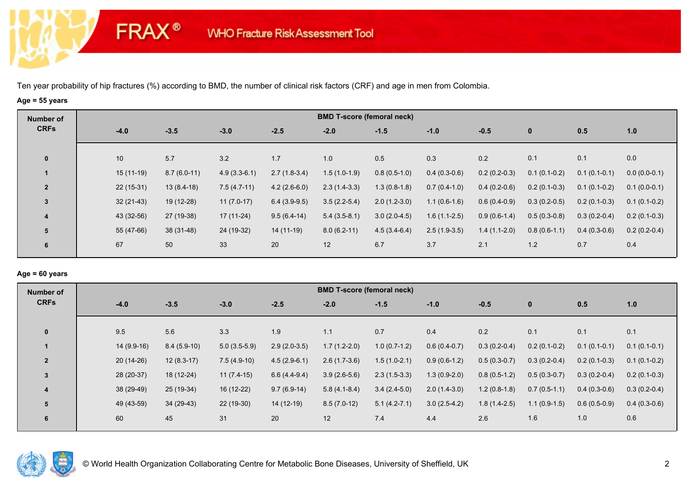**FRAX®** 

# **Age = 55 years**

| 1.0            |
|----------------|
| 0.0            |
| $0.0(0.0-0.1)$ |
| $0.1(0.0-0.1)$ |
| $0.1(0.1-0.2)$ |
| $0.2(0.1-0.3)$ |
| $0.2(0.2-0.4)$ |
| 0.4            |
|                |

### **Age = 60 years**

| Number of      |              |               |                |                | <b>BMD T-score (femoral neck)</b> |                |                |                |                |                |                |
|----------------|--------------|---------------|----------------|----------------|-----------------------------------|----------------|----------------|----------------|----------------|----------------|----------------|
| <b>CRFs</b>    | $-4.0$       | $-3.5$        | $-3.0$         | $-2.5$         | $-2.0$                            | $-1.5$         | $-1.0$         | $-0.5$         | $\mathbf{0}$   | 0.5            | 1.0            |
| $\mathbf{0}$   | 9.5          | 5.6           | 3.3            | 1.9            | 1.1                               | 0.7            | 0.4            | 0.2            | 0.1            | 0.1            | 0.1            |
|                | $14(9.9-16)$ | $8.4(5.9-10)$ | $5.0(3.5-5.9)$ | $2.9(2.0-3.5)$ | $1.7(1.2-2.0)$                    | $1.0(0.7-1.2)$ | $0.6(0.4-0.7)$ | $0.3(0.2-0.4)$ | $0.2(0.1-0.2)$ | $0.1(0.1-0.1)$ | $0.1(0.1-0.1)$ |
| $\overline{2}$ | $20(14-26)$  | $12(8.3-17)$  | $7.5(4.9-10)$  | $4.5(2.9-6.1)$ | $2.6(1.7-3.6)$                    | $1.5(1.0-2.1)$ | $0.9(0.6-1.2)$ | $0.5(0.3-0.7)$ | $0.3(0.2-0.4)$ | $0.2(0.1-0.3)$ | $0.1(0.1-0.2)$ |
| 3              | 28 (20-37)   | 18 (12-24)    | $11(7.4-15)$   | $6.6(4.4-9.4)$ | $3.9(2.6-5.6)$                    | $2.3(1.5-3.3)$ | $1.3(0.9-2.0)$ | $0.8(0.5-1.2)$ | $0.5(0.3-0.7)$ | $0.3(0.2-0.4)$ | $0.2(0.1-0.3)$ |
| 4              | 38 (29-49)   | 25 (19-34)    | 16 (12-22)     | $9.7(6.9-14)$  | $5.8(4.1-8.4)$                    | $3.4(2.4-5.0)$ | $2.0(1.4-3.0)$ | $1.2(0.8-1.8)$ | $0.7(0.5-1.1)$ | $0.4(0.3-0.6)$ | $0.3(0.2-0.4)$ |
| 5              | 49 (43-59)   | 34 (29-43)    | 22 (19-30)     | $14(12-19)$    | $8.5(7.0-12)$                     | $5.1(4.2-7.1)$ | $3.0(2.5-4.2)$ | $1.8(1.4-2.5)$ | $1.1(0.9-1.5)$ | $0.6(0.5-0.9)$ | $0.4(0.3-0.6)$ |
| 6              | 60           | 45            | 31             | 20             | 12                                | 7.4            | 4.4            | 2.6            | 1.6            | 1.0            | 0.6            |

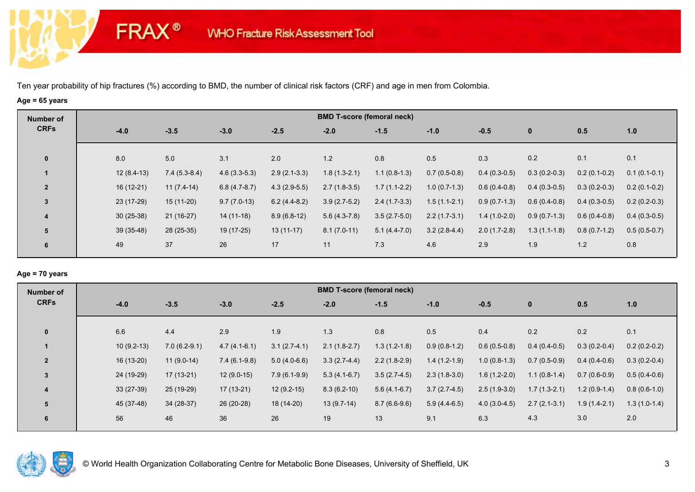**FRAX®** 

# **Age = 65 years**

| Number of               |              |                |                |                |                | <b>BMD T-score (femoral neck)</b> |                |                |                |                |                |
|-------------------------|--------------|----------------|----------------|----------------|----------------|-----------------------------------|----------------|----------------|----------------|----------------|----------------|
| <b>CRFs</b>             | $-4.0$       | $-3.5$         | $-3.0$         | $-2.5$         | $-2.0$         | $-1.5$                            | $-1.0$         | $-0.5$         | $\mathbf{0}$   | 0.5            | 1.0            |
| $\mathbf 0$             | 8.0          | 5.0            | 3.1            | 2.0            | 1.2            | 0.8                               | 0.5            | 0.3            | 0.2            | 0.1            | 0.1            |
| $\mathbf{1}$            | $12(8.4-13)$ | $7.4(5.3-8.4)$ | $4.6(3.3-5.3)$ | $2.9(2.1-3.3)$ | $1.8(1.3-2.1)$ | $1.1(0.8-1.3)$                    | $0.7(0.5-0.8)$ | $0.4(0.3-0.5)$ | $0.3(0.2-0.3)$ | $0.2(0.1-0.2)$ | $0.1(0.1-0.1)$ |
| $\overline{2}$          | $16(12-21)$  | $11(7.4-14)$   | $6.8(4.7-8.7)$ | $4.3(2.9-5.5)$ | $2.7(1.8-3.5)$ | $1.7(1.1-2.2)$                    | $1.0(0.7-1.3)$ | $0.6(0.4-0.8)$ | $0.4(0.3-0.5)$ | $0.3(0.2-0.3)$ | $0.2(0.1-0.2)$ |
| 3                       | 23 (17-29)   | $15(11-20)$    | $9.7(7.0-13)$  | $6.2(4.4-8.2)$ | $3.9(2.7-5.2)$ | $2.4(1.7-3.3)$                    | $1.5(1.1-2.1)$ | $0.9(0.7-1.3)$ | $0.6(0.4-0.8)$ | $0.4(0.3-0.5)$ | $0.2(0.2-0.3)$ |
| $\overline{\mathbf{4}}$ | $30(25-38)$  | $21(16-27)$    | 14 (11-18)     | $8.9(6.8-12)$  | $5.6(4.3-7.8)$ | $3.5(2.7-5.0)$                    | $2.2(1.7-3.1)$ | $1.4(1.0-2.0)$ | $0.9(0.7-1.3)$ | $0.6(0.4-0.8)$ | $0.4(0.3-0.5)$ |
| 5                       | $39(35-48)$  | 28 (25-35)     | 19 (17-25)     | $13(11-17)$    | $8.1(7.0-11)$  | $5.1(4.4-7.0)$                    | $3.2(2.8-4.4)$ | $2.0(1.7-2.8)$ | $1.3(1.1-1.8)$ | $0.8(0.7-1.2)$ | $0.5(0.5-0.7)$ |
| 6                       | 49           | 37             | 26             | 17             | 11             | 7.3                               | 4.6            | 2.9            | 1.9            | 1.2            | 0.8            |

### **Age = 70 years**

| Number of      |              |                |                |                | <b>BMD T-score (femoral neck)</b> |                |                |                |                |                |                |
|----------------|--------------|----------------|----------------|----------------|-----------------------------------|----------------|----------------|----------------|----------------|----------------|----------------|
| <b>CRFs</b>    | $-4.0$       | $-3.5$         | $-3.0$         | $-2.5$         | $-2.0$                            | $-1.5$         | $-1.0$         | $-0.5$         | $\mathbf{0}$   | 0.5            | 1.0            |
| $\mathbf{0}$   | 6.6          | 4.4            | 2.9            | 1.9            | 1.3                               | 0.8            | 0.5            | 0.4            | 0.2            | 0.2            | 0.1            |
|                | $10(9.2-13)$ | $7.0(6.2-9.1)$ | $4.7(4.1-6.1)$ | $3.1(2.7-4.1)$ | $2.1(1.8-2.7)$                    | $1.3(1.2-1.8)$ | $0.9(0.8-1.2)$ | $0.6(0.5-0.8)$ | $0.4(0.4-0.5)$ | $0.3(0.2-0.4)$ | $0.2(0.2-0.2)$ |
| $\overline{2}$ | $16(13-20)$  | $11(9.0-14)$   | $7.4(6.1-9.8)$ | $5.0(4.0-6.6)$ | $3.3(2.7-4.4)$                    | $2.2(1.8-2.9)$ | $1.4(1.2-1.9)$ | $1.0(0.8-1.3)$ | $0.7(0.5-0.9)$ | $0.4(0.4-0.6)$ | $0.3(0.2-0.4)$ |
| $\overline{3}$ | 24 (19-29)   | $17(13-21)$    | $12(9.0-15)$   | $7.9(6.1-9.9)$ | $5.3(4.1-6.7)$                    | $3.5(2.7-4.5)$ | $2.3(1.8-3.0)$ | $1.6(1.2-2.0)$ | $1.1(0.8-1.4)$ | $0.7(0.6-0.9)$ | $0.5(0.4-0.6)$ |
| 4              | $33(27-39)$  | 25 (19-29)     | 17 (13-21)     | $12(9.2-15)$   | $8.3(6.2-10)$                     | $5.6(4.1-6.7)$ | $3.7(2.7-4.5)$ | $2.5(1.9-3.0)$ | $1.7(1.3-2.1)$ | $1.2(0.9-1.4)$ | $0.8(0.6-1.0)$ |
| 5              | 45 (37-48)   | $34(28-37)$    | 26 (20-28)     | 18 (14-20)     | $13(9.7-14)$                      | $8.7(6.6-9.6)$ | $5.9(4.4-6.5)$ | $4.0(3.0-4.5)$ | $2.7(2.1-3.1)$ | $1.9(1.4-2.1)$ | $1.3(1.0-1.4)$ |
| 6              | 56           | 46             | 36             | 26             | 19                                | 13             | 9.1            | 6.3            | 4.3            | 3.0            | 2.0            |

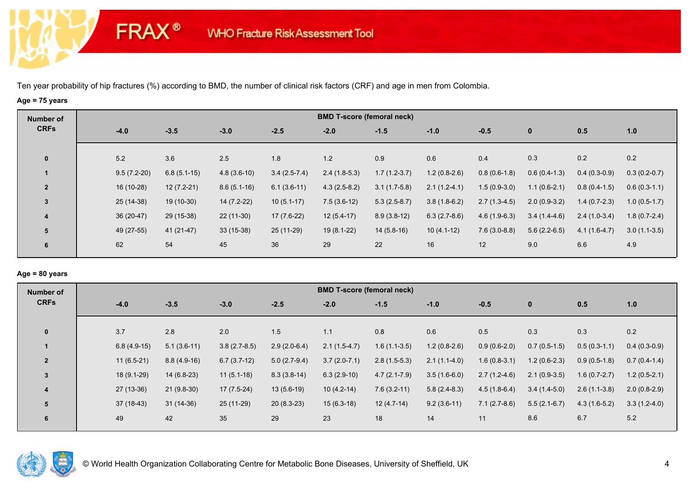**FRAX®** 

# **Age = 75 years**

| Number of      |               |               |               |                | <b>BMD T-score (femoral neck)</b> |                |                |                |                |                |                |
|----------------|---------------|---------------|---------------|----------------|-----------------------------------|----------------|----------------|----------------|----------------|----------------|----------------|
| <b>CRFs</b>    | $-4.0$        | $-3.5$        | $-3.0$        | $-2.5$         | $-2.0$                            | $-1.5$         | $-1.0$         | $-0.5$         | $\bf{0}$       | 0.5            | 1.0            |
| $\mathbf 0$    | 5.2           | 3.6           | 2.5           | 1.8            | $1.2$                             | 0.9            | 0.6            | 0.4            | 0.3            | 0.2            | 0.2            |
|                | $9.5(7.2-20)$ | $6.8(5.1-15)$ | $4.8(3.6-10)$ | $3.4(2.5-7.4)$ | $2.4(1.8-5.3)$                    | $1.7(1.2-3.7)$ | $1.2(0.8-2.6)$ | $0.8(0.6-1.8)$ | $0.6(0.4-1.3)$ | $0.4(0.3-0.9)$ | $0.3(0.2-0.7)$ |
| $\overline{2}$ | 16 (10-28)    | $12(7.2-21)$  | $8.6(5.1-16)$ | $6.1(3.6-11)$  | $4.3(2.5-8.2)$                    | $3.1(1.7-5.8)$ | $2.1(1.2-4.1)$ | $1.5(0.9-3.0)$ | $1.1(0.6-2.1)$ | $0.8(0.4-1.5)$ | $0.6(0.3-1.1)$ |
| 3              | $25(14-38)$   | $19(10-30)$   | $14(7.2-22)$  | $10(5.1-17)$   | $7.5(3.6-12)$                     | $5.3(2.5-8.7)$ | $3.8(1.8-6.2)$ | $2.7(1.3-4.5)$ | $2.0(0.9-3.2)$ | $1.4(0.7-2.3)$ | $1.0(0.5-1.7)$ |
| 4              | $36(20-47)$   | 29 (15-38)    | $22(11-30)$   | $17(7.6-22)$   | $12(5.4-17)$                      | $8.9(3.8-12)$  | $6.3(2.7-8.6)$ | $4.6(1.9-6.3)$ | $3.4(1.4-4.6)$ | $2.4(1.0-3.4)$ | $1.8(0.7-2.4)$ |
| 5              | 49 (27-55)    | 41 (21-47)    | $33(15-38)$   | 25 (11-29)     | $19(8.1-22)$                      | $14(5.8-16)$   | $10(4.1-12)$   | $7.6(3.0-8.8)$ | $5.6(2.2-6.5)$ | $4.1(1.6-4.7)$ | $3.0(1.1-3.5)$ |
| 6              | 62            | 54            | 45            | 36             | 29                                | 22             | 16             | 12             | 9.0            | 6.6            | 4.9            |

### **Age = 80 years**

| Number of      |               |               |                |                | <b>BMD T-score (femoral neck)</b> |                  |                |                |                |                |                |
|----------------|---------------|---------------|----------------|----------------|-----------------------------------|------------------|----------------|----------------|----------------|----------------|----------------|
| <b>CRFs</b>    | $-4.0$        | $-3.5$        | $-3.0$         | $-2.5$         | $-2.0$                            | $-1.5$           | $-1.0$         | $-0.5$         | $\mathbf{0}$   | 0.5            | 1.0            |
| $\mathbf{0}$   | 3.7           | 2.8           | 2.0            | 1.5            | 1.1                               | 0.8              | 0.6            | 0.5            | 0.3            | 0.3            | 0.2            |
|                | $6.8(4.9-15)$ | $5.1(3.6-11)$ | $3.8(2.7-8.5)$ | $2.9(2.0-6.4)$ | $2.1(1.5-4.7)$                    | $1.6(1.1-3.5)$   | $1.2(0.8-2.6)$ | $0.9(0.6-2.0)$ | $0.7(0.5-1.5)$ | $0.5(0.3-1.1)$ | $0.4(0.3-0.9)$ |
| $\overline{2}$ | $11(6.5-21)$  | $8.8(4.9-16)$ | $6.7(3.7-12)$  | $5.0(2.7-9.4)$ | $3.7(2.0-7.1)$                    | $2.8(1.5-5.3)$   | $2.1(1.1-4.0)$ | $1.6(0.8-3.1)$ | $1.2(0.6-2.3)$ | $0.9(0.5-1.8)$ | $0.7(0.4-1.4)$ |
| 3              | 18 (9.1-29)   | $14(6.8-23)$  | $11(5.1-18)$   | $8.3(3.8-14)$  | $6.3(2.9-10)$                     | $4.7(2.1 - 7.9)$ | $3.5(1.6-6.0)$ | $2.7(1.2-4.6)$ | $2.1(0.9-3.5)$ | $1.6(0.7-2.7)$ | $1.2(0.5-2.1)$ |
| $\overline{4}$ | $27(13-36)$   | $21(9.8-30)$  | 17 (7.5-24)    | $13(5.6-19)$   | $10(4.2-14)$                      | $7.6(3.2-11)$    | $5.8(2.4-8.3)$ | $4.5(1.8-6.4)$ | $3.4(1.4-5.0)$ | $2.6(1.1-3.8)$ | $2.0(0.8-2.9)$ |
| 5              | $37(18-43)$   | $31(14-36)$   | 25 (11-29)     | $20(8.3-23)$   | $15(6.3-18)$                      | $12(4.7-14)$     | $9.2(3.6-11)$  | $7.1(2.7-8.6)$ | $5.5(2.1-6.7)$ | $4.3(1.6-5.2)$ | $3.3(1.2-4.0)$ |
| 6              | 49            | 42            | 35             | 29             | 23                                | 18               | 14             | 11             | 8.6            | 6.7            | 5.2            |